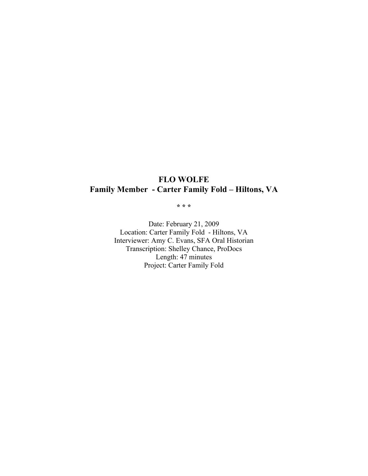# **FLO WOLFE Family Member - Carter Family Fold – Hiltons, VA**

**\* \* \***

Date: February 21, 2009 Location: Carter Family Fold - Hiltons, VA Interviewer: Amy C. Evans, SFA Oral Historian Transcription: Shelley Chance, ProDocs Length: 47 minutes Project: Carter Family Fold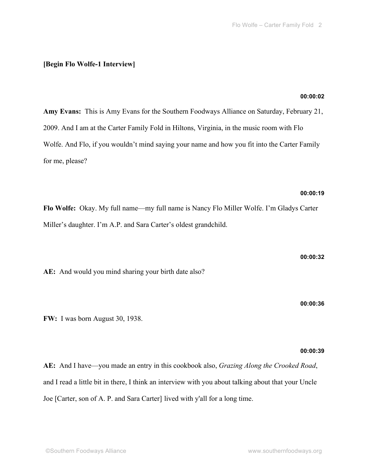# **[Begin Flo Wolfe-1 Interview]**

# **00:00:02**

**Amy Evans:** This is Amy Evans for the Southern Foodways Alliance on Saturday, February 21, 2009. And I am at the Carter Family Fold in Hiltons, Virginia, in the music room with Flo Wolfe. And Flo, if you wouldn't mind saying your name and how you fit into the Carter Family for me, please?

# **00:00:19**

**Flo Wolfe:** Okay. My full name—my full name is Nancy Flo Miller Wolfe. I'm Gladys Carter Miller's daughter. I'm A.P. and Sara Carter's oldest grandchild.

**AE:** And would you mind sharing your birth date also?

**00:00:36**

**00:00:32**

**FW:** I was born August 30, 1938.

**00:00:39**

**AE:** And I have—you made an entry in this cookbook also, *Grazing Along the Crooked Road*, and I read a little bit in there, I think an interview with you about talking about that your Uncle Joe [Carter, son of A. P. and Sara Carter] lived with y'all for a long time.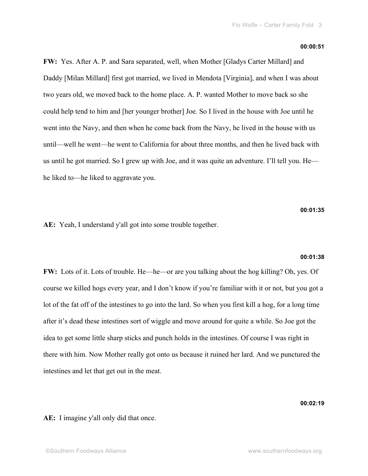#### **00:00:51**

**FW:** Yes. After A. P. and Sara separated, well, when Mother [Gladys Carter Millard] and Daddy [Milan Millard] first got married, we lived in Mendota [Virginia], and when I was about two years old, we moved back to the home place. A. P. wanted Mother to move back so she could help tend to him and [her younger brother] Joe. So I lived in the house with Joe until he went into the Navy, and then when he come back from the Navy, he lived in the house with us until—well he went—he went to California for about three months, and then he lived back with us until he got married. So I grew up with Joe, and it was quite an adventure. I'll tell you. He he liked to—he liked to aggravate you.

**00:01:35**

**AE:** Yeah, I understand y'all got into some trouble together.

#### **00:01:38**

**FW:** Lots of it. Lots of trouble. He—he—or are you talking about the hog killing? Oh, yes. Of course we killed hogs every year, and I don't know if you're familiar with it or not, but you got a lot of the fat off of the intestines to go into the lard. So when you first kill a hog, for a long time after it's dead these intestines sort of wiggle and move around for quite a while. So Joe got the idea to get some little sharp sticks and punch holds in the intestines. Of course I was right in there with him. Now Mother really got onto us because it ruined her lard. And we punctured the intestines and let that get out in the meat.

**00:02:19**

**AE:** I imagine y'all only did that once.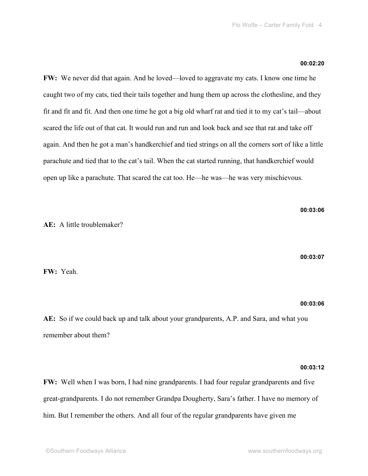#### **00:02:20**

**FW:** We never did that again. And he loved—loved to aggravate my cats. I know one time he caught two of my cats, tied their tails together and hung them up across the clothesline, and they fit and fit and fit. And then one time he got a big old wharf rat and tied it to my cat's tail—about scared the life out of that cat. It would run and run and look back and see that rat and take off again. And then he got a man's handkerchief and tied strings on all the corners sort of like a little parachute and tied that to the cat's tail. When the cat started running, that handkerchief would open up like a parachute. That scared the cat too. He—he was—he was very mischievous.

**AE:** A little troublemaker?

**00:03:07**

**00:03:06**

**FW:** Yeah.

## **00:03:06**

**AE:** So if we could back up and talk about your grandparents, A.P. and Sara, and what you remember about them?

## **00:03:12**

**FW:** Well when I was born, I had nine grandparents. I had four regular grandparents and five great-grandparents. I do not remember Grandpa Dougherty, Sara's father. I have no memory of him. But I remember the others. And all four of the regular grandparents have given me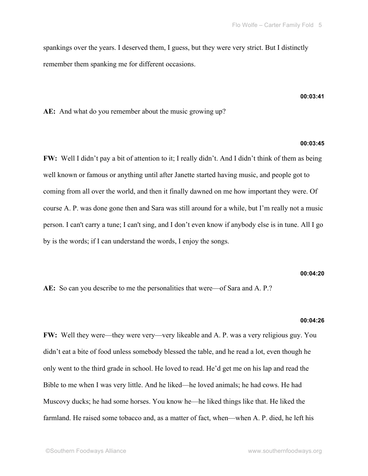spankings over the years. I deserved them, I guess, but they were very strict. But I distinctly remember them spanking me for different occasions.

#### **00:03:41**

**AE:** And what do you remember about the music growing up?

## **00:03:45**

**FW:** Well I didn't pay a bit of attention to it; I really didn't. And I didn't think of them as being well known or famous or anything until after Janette started having music, and people got to coming from all over the world, and then it finally dawned on me how important they were. Of course A. P. was done gone then and Sara was still around for a while, but I'm really not a music person. I can't carry a tune; I can't sing, and I don't even know if anybody else is in tune. All I go by is the words; if I can understand the words, I enjoy the songs.

#### **00:04:20**

**AE:** So can you describe to me the personalities that were—of Sara and A. P.?

#### **00:04:26**

**FW:** Well they were—they were very—very likeable and A. P. was a very religious guy. You didn't eat a bite of food unless somebody blessed the table, and he read a lot, even though he only went to the third grade in school. He loved to read. He'd get me on his lap and read the Bible to me when I was very little. And he liked—he loved animals; he had cows. He had Muscovy ducks; he had some horses. You know he—he liked things like that. He liked the farmland. He raised some tobacco and, as a matter of fact, when—when A. P. died, he left his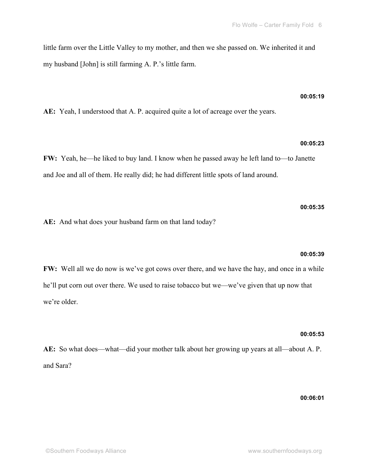little farm over the Little Valley to my mother, and then we she passed on. We inherited it and my husband [John] is still farming A. P.'s little farm.

## **00:05:19**

**AE:** Yeah, I understood that A. P. acquired quite a lot of acreage over the years.

## **00:05:23**

**FW:** Yeah, he—he liked to buy land. I know when he passed away he left land to—to Janette and Joe and all of them. He really did; he had different little spots of land around.

**AE:** And what does your husband farm on that land today?

## **00:05:39**

**00:05:35**

**FW:** Well all we do now is we've got cows over there, and we have the hay, and once in a while he'll put corn out over there. We used to raise tobacco but we—we've given that up now that we're older.

#### **00:05:53**

**AE:** So what does—what—did your mother talk about her growing up years at all—about A. P. and Sara?

**00:06:01**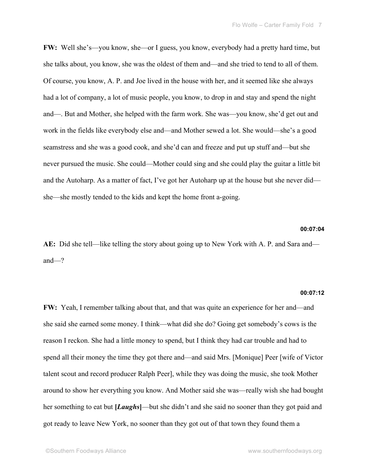**FW:** Well she's—you know, she—or I guess, you know, everybody had a pretty hard time, but she talks about, you know, she was the oldest of them and—and she tried to tend to all of them. Of course, you know, A. P. and Joe lived in the house with her, and it seemed like she always had a lot of company, a lot of music people, you know, to drop in and stay and spend the night and—. But and Mother, she helped with the farm work. She was—you know, she'd get out and work in the fields like everybody else and—and Mother sewed a lot. She would—she's a good seamstress and she was a good cook, and she'd can and freeze and put up stuff and—but she never pursued the music. She could—Mother could sing and she could play the guitar a little bit and the Autoharp. As a matter of fact, I've got her Autoharp up at the house but she never did she—she mostly tended to the kids and kept the home front a-going.

## **00:07:04**

**AE:** Did she tell—like telling the story about going up to New York with A. P. and Sara and and—?

#### **00:07:12**

**FW:** Yeah, I remember talking about that, and that was quite an experience for her and—and she said she earned some money. I think—what did she do? Going get somebody's cows is the reason I reckon. She had a little money to spend, but I think they had car trouble and had to spend all their money the time they got there and—and said Mrs. [Monique] Peer [wife of Victor talent scout and record producer Ralph Peer], while they was doing the music, she took Mother around to show her everything you know. And Mother said she was—really wish she had bought her something to eat but **[***Laughs*]—but she didn't and she said no sooner than they got paid and got ready to leave New York, no sooner than they got out of that town they found them a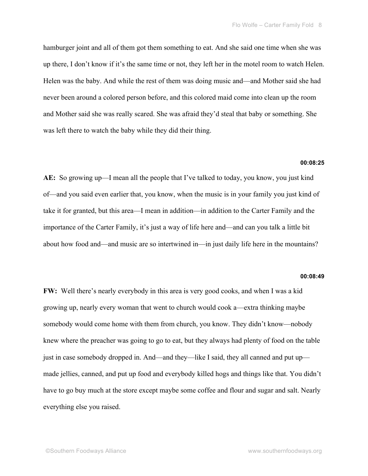hamburger joint and all of them got them something to eat. And she said one time when she was up there, I don't know if it's the same time or not, they left her in the motel room to watch Helen. Helen was the baby. And while the rest of them was doing music and—and Mother said she had never been around a colored person before, and this colored maid come into clean up the room and Mother said she was really scared. She was afraid they'd steal that baby or something. She was left there to watch the baby while they did their thing.

#### **00:08:25**

**AE:** So growing up—I mean all the people that I've talked to today, you know, you just kind of—and you said even earlier that, you know, when the music is in your family you just kind of take it for granted, but this area—I mean in addition—in addition to the Carter Family and the importance of the Carter Family, it's just a way of life here and—and can you talk a little bit about how food and—and music are so intertwined in—in just daily life here in the mountains?

#### **00:08:49**

**FW:** Well there's nearly everybody in this area is very good cooks, and when I was a kid growing up, nearly every woman that went to church would cook a—extra thinking maybe somebody would come home with them from church, you know. They didn't know—nobody knew where the preacher was going to go to eat, but they always had plenty of food on the table just in case somebody dropped in. And—and they—like I said, they all canned and put up made jellies, canned, and put up food and everybody killed hogs and things like that. You didn't have to go buy much at the store except maybe some coffee and flour and sugar and salt. Nearly everything else you raised.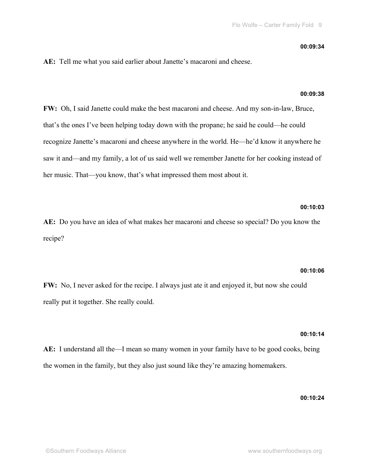#### **00:09:34**

**AE:** Tell me what you said earlier about Janette's macaroni and cheese.

#### **00:09:38**

**FW:** Oh, I said Janette could make the best macaroni and cheese. And my son-in-law, Bruce, that's the ones I've been helping today down with the propane; he said he could—he could recognize Janette's macaroni and cheese anywhere in the world. He—he'd know it anywhere he saw it and—and my family, a lot of us said well we remember Janette for her cooking instead of her music. That—you know, that's what impressed them most about it.

## **00:10:03**

**AE:** Do you have an idea of what makes her macaroni and cheese so special? Do you know the recipe?

### **00:10:06**

**FW:** No, I never asked for the recipe. I always just ate it and enjoyed it, but now she could really put it together. She really could.

## **00:10:14**

**AE:** I understand all the—I mean so many women in your family have to be good cooks, being the women in the family, but they also just sound like they're amazing homemakers.

**00:10:24**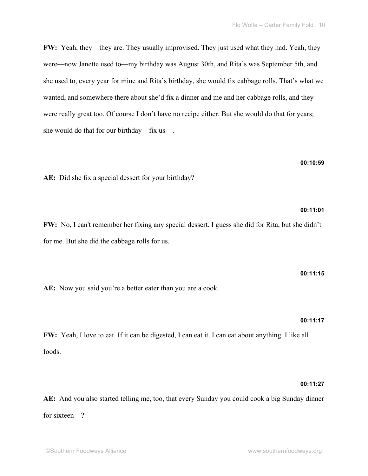**FW:** Yeah, they—they are. They usually improvised. They just used what they had. Yeah, they were—now Janette used to—my birthday was August 30th, and Rita's was September 5th, and she used to, every year for mine and Rita's birthday, she would fix cabbage rolls. That's what we wanted, and somewhere there about she'd fix a dinner and me and her cabbage rolls, and they were really great too. Of course I don't have no recipe either. But she would do that for years; she would do that for our birthday—fix us—.

## **00:10:59**

**00:11:01**

**AE:** Did she fix a special dessert for your birthday?

**FW:** No, I can't remember her fixing any special dessert. I guess she did for Rita, but she didn't for me. But she did the cabbage rolls for us.

# **00:11:15** AE: Now you said you're a better eater than you are a cook.

## **00:11:17**

**FW:** Yeah, I love to eat. If it can be digested, I can eat it. I can eat about anything. I like all foods.

## **00:11:27**

**AE:** And you also started telling me, too, that every Sunday you could cook a big Sunday dinner for sixteen—?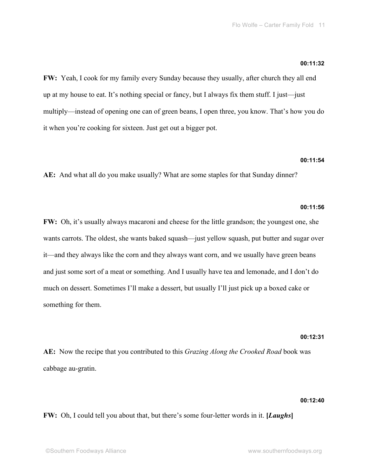#### **00:11:32**

**FW:** Yeah, I cook for my family every Sunday because they usually, after church they all end up at my house to eat. It's nothing special or fancy, but I always fix them stuff. I just—just multiply—instead of opening one can of green beans, I open three, you know. That's how you do it when you're cooking for sixteen. Just get out a bigger pot.

#### **00:11:54**

**AE:** And what all do you make usually? What are some staples for that Sunday dinner?

## **00:11:56**

**FW:** Oh, it's usually always macaroni and cheese for the little grandson; the youngest one, she wants carrots. The oldest, she wants baked squash—just yellow squash, put butter and sugar over it—and they always like the corn and they always want corn, and we usually have green beans and just some sort of a meat or something. And I usually have tea and lemonade, and I don't do much on dessert. Sometimes I'll make a dessert, but usually I'll just pick up a boxed cake or something for them.

## **00:12:31**

**AE:** Now the recipe that you contributed to this *Grazing Along the Crooked Road* book was cabbage au-gratin.

## **00:12:40**

**FW:** Oh, I could tell you about that, but there's some four-letter words in it. **[***Laughs***]**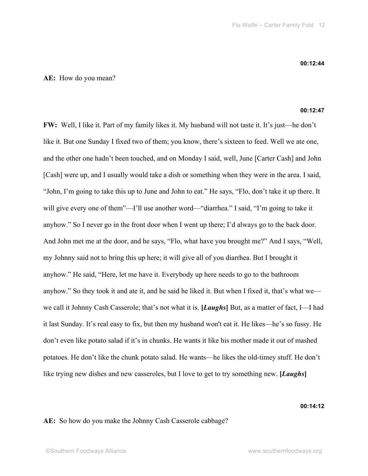## **AE:** How do you mean?

#### **00:12:47**

**FW:** Well, I like it. Part of my family likes it. My husband will not taste it. It's just—he don't like it. But one Sunday I fixed two of them; you know, there's sixteen to feed. Well we ate one, and the other one hadn't been touched, and on Monday I said, well, June [Carter Cash] and John [Cash] were up, and I usually would take a dish or something when they were in the area. I said, "John, I'm going to take this up to June and John to eat." He says, "Flo, don't take it up there. It will give every one of them"—I'll use another word—"diarrhea." I said, "I'm going to take it anyhow." So I never go in the front door when I went up there; I'd always go to the back door. And John met me at the door, and he says, "Flo, what have you brought me?" And I says, "Well, my Johnny said not to bring this up here; it will give all of you diarrhea. But I brought it anyhow." He said, "Here, let me have it. Everybody up here needs to go to the bathroom anyhow." So they took it and ate it, and he said he liked it. But when I fixed it, that's what we we call it Johnny Cash Casserole; that's not what it is. **[***Laughs***]** But, as a matter of fact, I—I had it last Sunday. It's real easy to fix, but then my husband won't eat it. He likes—he's so fussy. He don't even like potato salad if it's in chunks. He wants it like his mother made it out of mashed potatoes. He don't like the chunk potato salad. He wants—he likes the old-timey stuff. He don't like trying new dishes and new casseroles, but I love to get to try something new. **[***Laughs***]**

**00:14:12**

**AE:** So how do you make the Johnny Cash Casserole cabbage?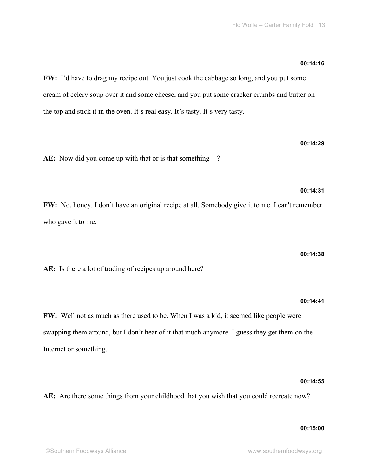## **00:14:16**

**00:14:29**

**00:14:31**

**FW:** I'd have to drag my recipe out. You just cook the cabbage so long, and you put some cream of celery soup over it and some cheese, and you put some cracker crumbs and butter on the top and stick it in the oven. It's real easy. It's tasty. It's very tasty.

**AE:** Now did you come up with that or is that something—?

**FW:** No, honey. I don't have an original recipe at all. Somebody give it to me. I can't remember who gave it to me.

#### **00:14:38**

**AE:** Is there a lot of trading of recipes up around here?

## **00:14:41**

**FW:** Well not as much as there used to be. When I was a kid, it seemed like people were swapping them around, but I don't hear of it that much anymore. I guess they get them on the Internet or something.

### **00:14:55**

**AE:** Are there some things from your childhood that you wish that you could recreate now?

## **00:15:00**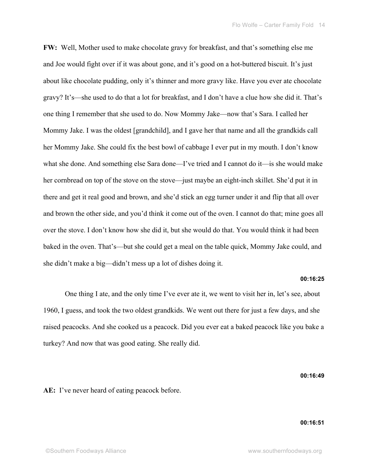**FW:** Well, Mother used to make chocolate gravy for breakfast, and that's something else me and Joe would fight over if it was about gone, and it's good on a hot-buttered biscuit. It's just about like chocolate pudding, only it's thinner and more gravy like. Have you ever ate chocolate gravy? It's—she used to do that a lot for breakfast, and I don't have a clue how she did it. That's one thing I remember that she used to do. Now Mommy Jake—now that's Sara. I called her Mommy Jake. I was the oldest [grandchild], and I gave her that name and all the grandkids call her Mommy Jake. She could fix the best bowl of cabbage I ever put in my mouth. I don't know what she done. And something else Sara done—I've tried and I cannot do it—is she would make her cornbread on top of the stove on the stove—just maybe an eight-inch skillet. She'd put it in there and get it real good and brown, and she'd stick an egg turner under it and flip that all over and brown the other side, and you'd think it come out of the oven. I cannot do that; mine goes all over the stove. I don't know how she did it, but she would do that. You would think it had been baked in the oven. That's—but she could get a meal on the table quick, Mommy Jake could, and she didn't make a big—didn't mess up a lot of dishes doing it.

#### **00:16:25**

One thing I ate, and the only time I've ever ate it, we went to visit her in, let's see, about 1960, I guess, and took the two oldest grandkids. We went out there for just a few days, and she raised peacocks. And she cooked us a peacock. Did you ever eat a baked peacock like you bake a turkey? And now that was good eating. She really did.

**00:16:49**

**AE:** I've never heard of eating peacock before.

## **00:16:51**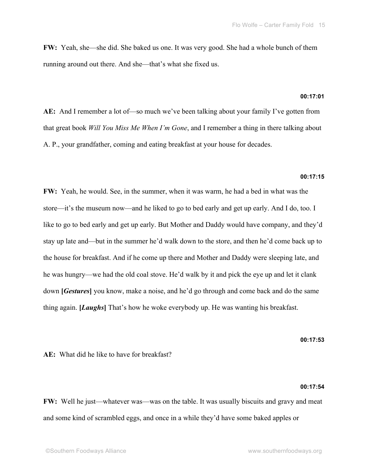**FW:** Yeah, she—she did. She baked us one. It was very good. She had a whole bunch of them running around out there. And she—that's what she fixed us.

## **00:17:01**

**AE:** And I remember a lot of—so much we've been talking about your family I've gotten from that great book *Will You Miss Me When I'm Gone*, and I remember a thing in there talking about A. P., your grandfather, coming and eating breakfast at your house for decades.

#### **00:17:15**

**FW:** Yeah, he would. See, in the summer, when it was warm, he had a bed in what was the store—it's the museum now—and he liked to go to bed early and get up early. And I do, too. I like to go to bed early and get up early. But Mother and Daddy would have company, and they'd stay up late and—but in the summer he'd walk down to the store, and then he'd come back up to the house for breakfast. And if he come up there and Mother and Daddy were sleeping late, and he was hungry—we had the old coal stove. He'd walk by it and pick the eye up and let it clank down **[***Gestures***]** you know, make a noise, and he'd go through and come back and do the same thing again. **[***Laughs***]** That's how he woke everybody up. He was wanting his breakfast.

**00:17:53**

**AE:** What did he like to have for breakfast?

## **00:17:54**

**FW:** Well he just—whatever was—was on the table. It was usually biscuits and gravy and meat and some kind of scrambled eggs, and once in a while they'd have some baked apples or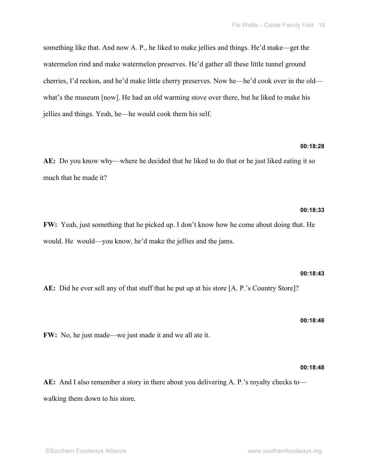something like that. And now A. P., he liked to make jellies and things. He'd make—get the watermelon rind and make watermelon preserves. He'd gather all these little tunnel ground cherries, I'd reckon, and he'd make little cherry preserves. Now he—he'd cook over in the old what's the museum [now]. He had an old warming stove over there, but he liked to make his jellies and things. Yeah, he—he would cook them his self.

## **00:18:28**

**AE:** Do you know why—where he decided that he liked to do that or he just liked eating it so much that he made it?

## **00:18:33**

**FW:** Yeah, just something that he picked up. I don't know how he come about doing that. He would. He would—you know, he'd make the jellies and the jams.

**AE:** Did he ever sell any of that stuff that he put up at his store [A. P.'s Country Store]?

**FW:** No, he just made—we just made it and we all ate it.

**AE:** And I also remember a story in there about you delivering A. P.'s royalty checks to walking them down to his store.

# **00:18:46**

**00:18:43**

# **00:18:48**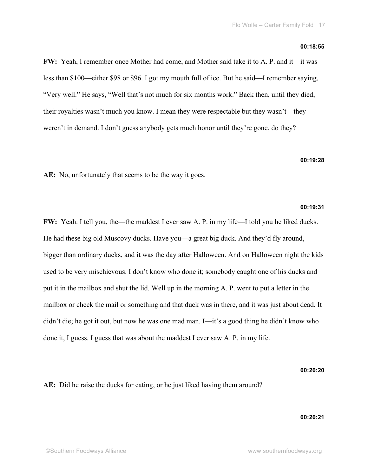#### **00:18:55**

**FW:** Yeah, I remember once Mother had come, and Mother said take it to A. P. and it—it was less than \$100—either \$98 or \$96. I got my mouth full of ice. But he said—I remember saying, "Very well." He says, "Well that's not much for six months work." Back then, until they died, their royalties wasn't much you know. I mean they were respectable but they wasn't—they weren't in demand. I don't guess anybody gets much honor until they're gone, do they?

**00:19:28**

**AE:** No, unfortunately that seems to be the way it goes.

### **00:19:31**

**FW:** Yeah. I tell you, the—the maddest I ever saw A. P. in my life—I told you he liked ducks. He had these big old Muscovy ducks. Have you—a great big duck. And they'd fly around, bigger than ordinary ducks, and it was the day after Halloween. And on Halloween night the kids used to be very mischievous. I don't know who done it; somebody caught one of his ducks and put it in the mailbox and shut the lid. Well up in the morning A. P. went to put a letter in the mailbox or check the mail or something and that duck was in there, and it was just about dead. It didn't die; he got it out, but now he was one mad man. I—it's a good thing he didn't know who done it, I guess. I guess that was about the maddest I ever saw A. P. in my life.

**00:20:20**

**AE:** Did he raise the ducks for eating, or he just liked having them around?

**00:20:21**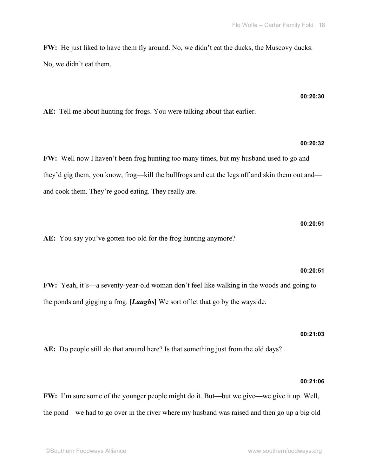**FW:** He just liked to have them fly around. No, we didn't eat the ducks, the Muscovy ducks. No, we didn't eat them.

# **00:20:30**

**AE:** Tell me about hunting for frogs. You were talking about that earlier.

# **00:20:32**

**FW:** Well now I haven't been frog hunting too many times, but my husband used to go and they'd gig them, you know, frog—kill the bullfrogs and cut the legs off and skin them out and and cook them. They're good eating. They really are.

**AE:** You say you've gotten too old for the frog hunting anymore?

## **00:20:51**

**00:20:51**

**FW:** Yeah, it's—a seventy-year-old woman don't feel like walking in the woods and going to the ponds and gigging a frog. **[***Laughs***]** We sort of let that go by the wayside.

## **00:21:03**

**AE:** Do people still do that around here? Is that something just from the old days?

## **00:21:06**

**FW:** I'm sure some of the younger people might do it. But—but we give—we give it up. Well, the pond—we had to go over in the river where my husband was raised and then go up a big old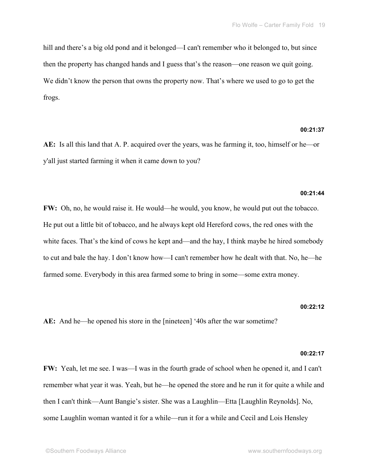hill and there's a big old pond and it belonged—I can't remember who it belonged to, but since then the property has changed hands and I guess that's the reason—one reason we quit going. We didn't know the person that owns the property now. That's where we used to go to get the frogs.

## **00:21:37**

**AE:** Is all this land that A. P. acquired over the years, was he farming it, too, himself or he—or y'all just started farming it when it came down to you?

#### **00:21:44**

**FW:** Oh, no, he would raise it. He would—he would, you know, he would put out the tobacco. He put out a little bit of tobacco, and he always kept old Hereford cows, the red ones with the white faces. That's the kind of cows he kept and—and the hay, I think maybe he hired somebody to cut and bale the hay. I don't know how—I can't remember how he dealt with that. No, he—he farmed some. Everybody in this area farmed some to bring in some—some extra money.

#### **00:22:12**

**AE:** And he—he opened his store in the [nineteen] '40s after the war sometime?

#### **00:22:17**

**FW:** Yeah, let me see. I was—I was in the fourth grade of school when he opened it, and I can't remember what year it was. Yeah, but he—he opened the store and he run it for quite a while and then I can't think—Aunt Bangie's sister. She was a Laughlin—Etta [Laughlin Reynolds]. No, some Laughlin woman wanted it for a while—run it for a while and Cecil and Lois Hensley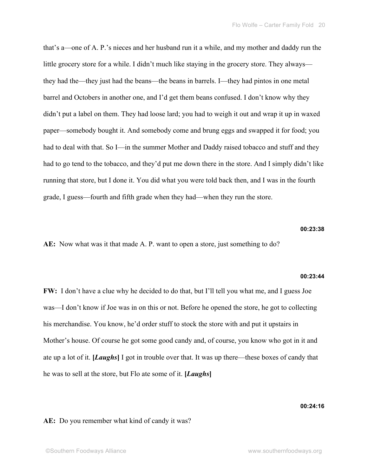that's a—one of A. P.'s nieces and her husband run it a while, and my mother and daddy run the little grocery store for a while. I didn't much like staying in the grocery store. They always they had the—they just had the beans—the beans in barrels. I—they had pintos in one metal barrel and Octobers in another one, and I'd get them beans confused. I don't know why they didn't put a label on them. They had loose lard; you had to weigh it out and wrap it up in waxed paper—somebody bought it. And somebody come and brung eggs and swapped it for food; you had to deal with that. So I—in the summer Mother and Daddy raised tobacco and stuff and they had to go tend to the tobacco, and they'd put me down there in the store. And I simply didn't like running that store, but I done it. You did what you were told back then, and I was in the fourth grade, I guess—fourth and fifth grade when they had—when they run the store.

## **00:23:38**

**AE:** Now what was it that made A. P. want to open a store, just something to do?

#### **00:23:44**

**FW:** I don't have a clue why he decided to do that, but I'll tell you what me, and I guess Joe was—I don't know if Joe was in on this or not. Before he opened the store, he got to collecting his merchandise. You know, he'd order stuff to stock the store with and put it upstairs in Mother's house. Of course he got some good candy and, of course, you know who got in it and ate up a lot of it. **[***Laughs***]** I got in trouble over that. It was up there—these boxes of candy that he was to sell at the store, but Flo ate some of it. **[***Laughs***]**

#### **00:24:16**

## **AE:** Do you remember what kind of candy it was?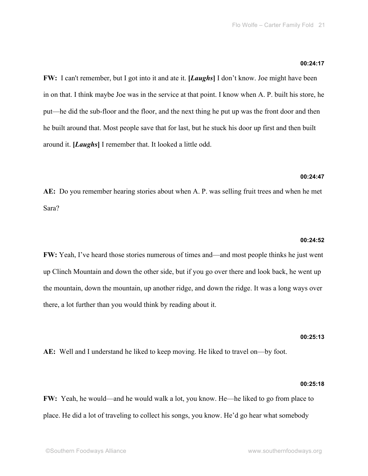#### **00:24:17**

**FW:** I can't remember, but I got into it and ate it. **[***Laughs***]** I don't know. Joe might have been in on that. I think maybe Joe was in the service at that point. I know when A. P. built his store, he put—he did the sub-floor and the floor, and the next thing he put up was the front door and then he built around that. Most people save that for last, but he stuck his door up first and then built around it. **[***Laughs***]** I remember that. It looked a little odd.

#### **00:24:47**

**AE:** Do you remember hearing stories about when A. P. was selling fruit trees and when he met Sara?

#### **00:24:52**

**FW:** Yeah, I've heard those stories numerous of times and—and most people thinks he just went up Clinch Mountain and down the other side, but if you go over there and look back, he went up the mountain, down the mountain, up another ridge, and down the ridge. It was a long ways over there, a lot further than you would think by reading about it.

#### **00:25:13**

**AE:** Well and I understand he liked to keep moving. He liked to travel on—by foot.

#### **00:25:18**

**FW:** Yeah, he would—and he would walk a lot, you know. He—he liked to go from place to place. He did a lot of traveling to collect his songs, you know. He'd go hear what somebody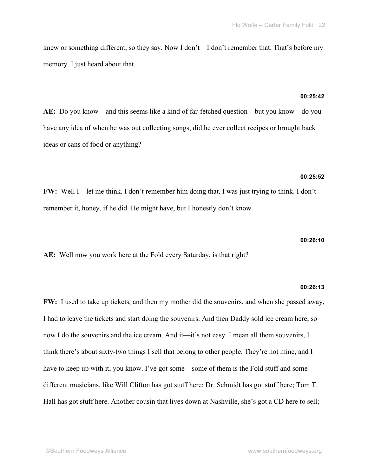knew or something different, so they say. Now I don't—I don't remember that. That's before my memory. I just heard about that.

## **00:25:42**

**AE:** Do you know—and this seems like a kind of far-fetched question—but you know—do you have any idea of when he was out collecting songs, did he ever collect recipes or brought back ideas or cans of food or anything?

## **00:25:52**

**FW:** Well I—let me think. I don't remember him doing that. I was just trying to think. I don't remember it, honey, if he did. He might have, but I honestly don't know.

### **00:26:10**

**AE:** Well now you work here at the Fold every Saturday, is that right?

## **00:26:13**

**FW:** I used to take up tickets, and then my mother did the souvenirs, and when she passed away, I had to leave the tickets and start doing the souvenirs. And then Daddy sold ice cream here, so now I do the souvenirs and the ice cream. And it—it's not easy. I mean all them souvenirs, I think there's about sixty-two things I sell that belong to other people. They're not mine, and I have to keep up with it, you know. I've got some—some of them is the Fold stuff and some different musicians, like Will Clifton has got stuff here; Dr. Schmidt has got stuff here; Tom T. Hall has got stuff here. Another cousin that lives down at Nashville, she's got a CD here to sell;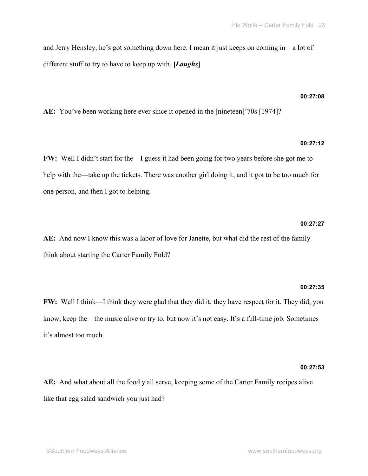and Jerry Hensley, he's got something down here. I mean it just keeps on coming in—a lot of different stuff to try to have to keep up with. **[***Laughs***]**

#### **00:27:08**

**AE:** You've been working here ever since it opened in the [nineteen]'70s [1974]?

## **00:27:12**

**FW:** Well I didn't start for the—I guess it had been going for two years before she got me to help with the—take up the tickets. There was another girl doing it, and it got to be too much for one person, and then I got to helping.

#### **00:27:27**

**AE:** And now I know this was a labor of love for Janette, but what did the rest of the family think about starting the Carter Family Fold?

#### **00:27:35**

**FW:** Well I think—I think they were glad that they did it; they have respect for it. They did, you know, keep the—the music alive or try to, but now it's not easy. It's a full-time job. Sometimes it's almost too much.

#### **00:27:53**

**AE:** And what about all the food y'all serve, keeping some of the Carter Family recipes alive like that egg salad sandwich you just had?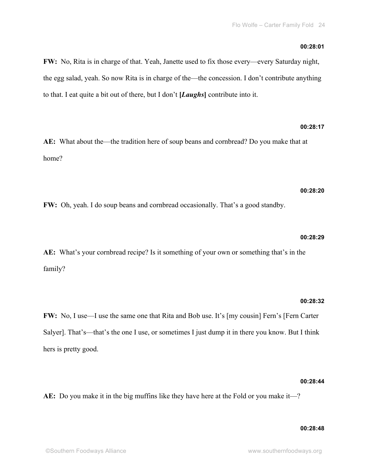**FW:** No, Rita is in charge of that. Yeah, Janette used to fix those every—every Saturday night, the egg salad, yeah. So now Rita is in charge of the—the concession. I don't contribute anything to that. I eat quite a bit out of there, but I don't **[***Laughs***]** contribute into it.

# **00:28:17**

**AE:** What about the—the tradition here of soup beans and cornbread? Do you make that at home?

## **00:28:20**

**FW:** Oh, yeah. I do soup beans and cornbread occasionally. That's a good standby.

#### **00:28:29**

**AE:** What's your cornbread recipe? Is it something of your own or something that's in the family?

#### **00:28:32**

**FW:** No, I use—I use the same one that Rita and Bob use. It's [my cousin] Fern's [Fern Carter Salyer]. That's—that's the one I use, or sometimes I just dump it in there you know. But I think hers is pretty good.

#### **00:28:44**

**AE:** Do you make it in the big muffins like they have here at the Fold or you make it—?

#### **00:28:48**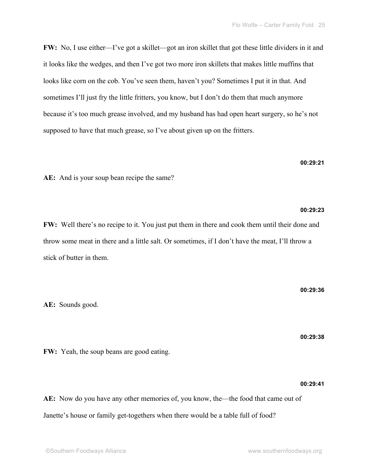**FW:** No, I use either—I've got a skillet—got an iron skillet that got these little dividers in it and it looks like the wedges, and then I've got two more iron skillets that makes little muffins that looks like corn on the cob. You've seen them, haven't you? Sometimes I put it in that. And sometimes I'll just fry the little fritters, you know, but I don't do them that much anymore because it's too much grease involved, and my husband has had open heart surgery, so he's not supposed to have that much grease, so I've about given up on the fritters.

**AE:** And is your soup bean recipe the same?

**FW:** Well there's no recipe to it. You just put them in there and cook them until their done and throw some meat in there and a little salt. Or sometimes, if I don't have the meat, I'll throw a stick of butter in them.

**AE:** Sounds good.

**FW:** Yeah, the soup beans are good eating.

**AE:** Now do you have any other memories of, you know, the—the food that came out of Janette's house or family get-togethers when there would be a table full of food?

**00:29:23**

**00:29:21**

**00:29:36**

**00:29:38**

**00:29:41**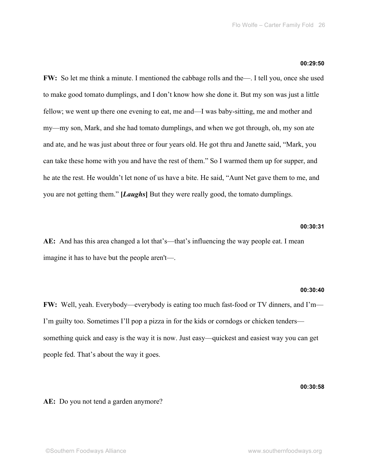## **00:29:50**

**FW:** So let me think a minute. I mentioned the cabbage rolls and the—. I tell you, once she used to make good tomato dumplings, and I don't know how she done it. But my son was just a little fellow; we went up there one evening to eat, me and—I was baby-sitting, me and mother and my—my son, Mark, and she had tomato dumplings, and when we got through, oh, my son ate and ate, and he was just about three or four years old. He got thru and Janette said, "Mark, you can take these home with you and have the rest of them." So I warmed them up for supper, and he ate the rest. He wouldn't let none of us have a bite. He said, "Aunt Net gave them to me, and you are not getting them." **[***Laughs***]** But they were really good, the tomato dumplings.

## **00:30:31**

**AE:** And has this area changed a lot that's—that's influencing the way people eat. I mean imagine it has to have but the people aren't—.

#### **00:30:40**

**FW:** Well, yeah. Everybody—everybody is eating too much fast-food or TV dinners, and I'm— I'm guilty too. Sometimes I'll pop a pizza in for the kids or corndogs or chicken tenders something quick and easy is the way it is now. Just easy—quickest and easiest way you can get people fed. That's about the way it goes.

**00:30:58**

**AE:** Do you not tend a garden anymore?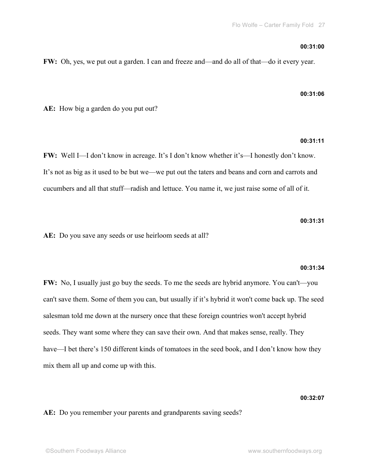#### **00:31:00**

**FW:** Oh, yes, we put out a garden. I can and freeze and—and do all of that—do it every year.

## **00:31:06**

**AE:** How big a garden do you put out?

# **00:31:11**

**FW:** Well I—I don't know in acreage. It's I don't know whether it's—I honestly don't know. It's not as big as it used to be but we—we put out the taters and beans and corn and carrots and cucumbers and all that stuff—radish and lettuce. You name it, we just raise some of all of it.

**00:31:31**

**AE:** Do you save any seeds or use heirloom seeds at all?

# **00:31:34**

**FW:** No, I usually just go buy the seeds. To me the seeds are hybrid anymore. You can't—you can't save them. Some of them you can, but usually if it's hybrid it won't come back up. The seed salesman told me down at the nursery once that these foreign countries won't accept hybrid seeds. They want some where they can save their own. And that makes sense, really. They have—I bet there's 150 different kinds of tomatoes in the seed book, and I don't know how they mix them all up and come up with this.

## **00:32:07**

**AE:** Do you remember your parents and grandparents saving seeds?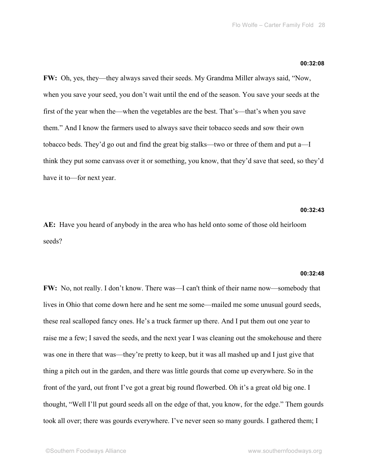#### **00:32:08**

**FW:** Oh, yes, they—they always saved their seeds. My Grandma Miller always said, "Now, when you save your seed, you don't wait until the end of the season. You save your seeds at the first of the year when the—when the vegetables are the best. That's—that's when you save them." And I know the farmers used to always save their tobacco seeds and sow their own tobacco beds. They'd go out and find the great big stalks—two or three of them and put a—I think they put some canvass over it or something, you know, that they'd save that seed, so they'd have it to—for next year.

#### **00:32:43**

**AE:** Have you heard of anybody in the area who has held onto some of those old heirloom seeds?

#### **00:32:48**

**FW:** No, not really. I don't know. There was—I can't think of their name now—somebody that lives in Ohio that come down here and he sent me some—mailed me some unusual gourd seeds, these real scalloped fancy ones. He's a truck farmer up there. And I put them out one year to raise me a few; I saved the seeds, and the next year I was cleaning out the smokehouse and there was one in there that was—they're pretty to keep, but it was all mashed up and I just give that thing a pitch out in the garden, and there was little gourds that come up everywhere. So in the front of the yard, out front I've got a great big round flowerbed. Oh it's a great old big one. I thought, "Well I'll put gourd seeds all on the edge of that, you know, for the edge." Them gourds took all over; there was gourds everywhere. I've never seen so many gourds. I gathered them; I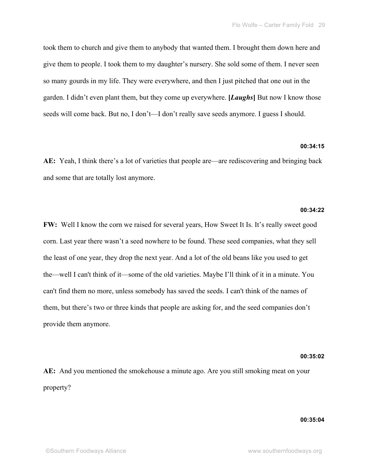took them to church and give them to anybody that wanted them. I brought them down here and give them to people. I took them to my daughter's nursery. She sold some of them. I never seen so many gourds in my life. They were everywhere, and then I just pitched that one out in the garden. I didn't even plant them, but they come up everywhere. **[***Laughs***]** But now I know those seeds will come back. But no, I don't—I don't really save seeds anymore. I guess I should.

#### **00:34:15**

**AE:** Yeah, I think there's a lot of varieties that people are—are rediscovering and bringing back and some that are totally lost anymore.

#### **00:34:22**

**FW:** Well I know the corn we raised for several years, How Sweet It Is. It's really sweet good corn. Last year there wasn't a seed nowhere to be found. These seed companies, what they sell the least of one year, they drop the next year. And a lot of the old beans like you used to get the—well I can't think of it—some of the old varieties. Maybe I'll think of it in a minute. You can't find them no more, unless somebody has saved the seeds. I can't think of the names of them, but there's two or three kinds that people are asking for, and the seed companies don't provide them anymore.

#### **00:35:02**

**AE:** And you mentioned the smokehouse a minute ago. Are you still smoking meat on your property?

## **00:35:04**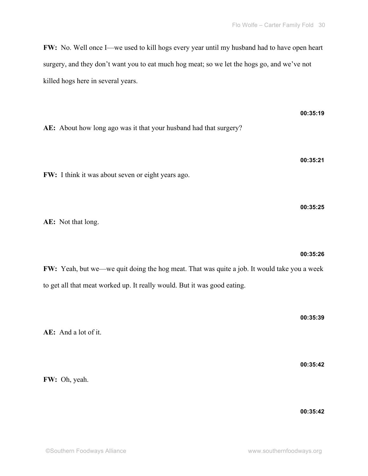**FW:** No. Well once I—we used to kill hogs every year until my husband had to have open heart surgery, and they don't want you to eat much hog meat; so we let the hogs go, and we've not killed hogs here in several years.

**AE:** About how long ago was it that your husband had that surgery?

**FW:** I think it was about seven or eight years ago.

**AE:** Not that long.

**FW:** Yeah, but we—we quit doing the hog meat. That was quite a job. It would take you a week to get all that meat worked up. It really would. But it was good eating.

**AE:** And a lot of it. **00:35:42 FW:** Oh, yeah.

**00:35:26**

**00:35:19**

**00:35:21**

**00:35:25**

**00:35:39**

**00:35:42**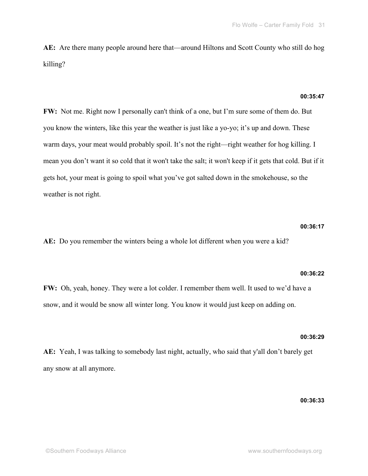**AE:** Are there many people around here that—around Hiltons and Scott County who still do hog killing?

## **00:35:47**

**FW:** Not me. Right now I personally can't think of a one, but I'm sure some of them do. But you know the winters, like this year the weather is just like a yo-yo; it's up and down. These warm days, your meat would probably spoil. It's not the right—right weather for hog killing. I mean you don't want it so cold that it won't take the salt; it won't keep if it gets that cold. But if it gets hot, your meat is going to spoil what you've got salted down in the smokehouse, so the weather is not right.

## **00:36:17**

**AE:** Do you remember the winters being a whole lot different when you were a kid?

#### **00:36:22**

**FW:** Oh, yeah, honey. They were a lot colder. I remember them well. It used to we'd have a snow, and it would be snow all winter long. You know it would just keep on adding on.

### **00:36:29**

**AE:** Yeah, I was talking to somebody last night, actually, who said that y'all don't barely get any snow at all anymore.

## **00:36:33**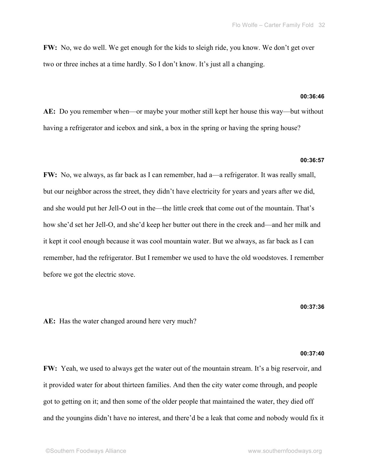**FW:** No, we do well. We get enough for the kids to sleigh ride, you know. We don't get over two or three inches at a time hardly. So I don't know. It's just all a changing.

## **00:36:46**

**AE:** Do you remember when—or maybe your mother still kept her house this way—but without having a refrigerator and icebox and sink, a box in the spring or having the spring house?

#### **00:36:57**

**FW:** No, we always, as far back as I can remember, had a—a refrigerator. It was really small, but our neighbor across the street, they didn't have electricity for years and years after we did, and she would put her Jell-O out in the—the little creek that come out of the mountain. That's how she'd set her Jell-O, and she'd keep her butter out there in the creek and—and her milk and it kept it cool enough because it was cool mountain water. But we always, as far back as I can remember, had the refrigerator. But I remember we used to have the old woodstoves. I remember before we got the electric stove.

### **00:37:36**

**AE:** Has the water changed around here very much?

#### **00:37:40**

**FW:** Yeah, we used to always get the water out of the mountain stream. It's a big reservoir, and it provided water for about thirteen families. And then the city water come through, and people got to getting on it; and then some of the older people that maintained the water, they died off and the youngins didn't have no interest, and there'd be a leak that come and nobody would fix it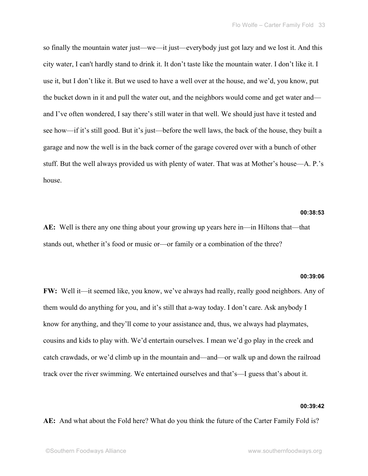so finally the mountain water just—we—it just—everybody just got lazy and we lost it. And this city water, I can't hardly stand to drink it. It don't taste like the mountain water. I don't like it. I use it, but I don't like it. But we used to have a well over at the house, and we'd, you know, put the bucket down in it and pull the water out, and the neighbors would come and get water and and I've often wondered, I say there's still water in that well. We should just have it tested and see how—if it's still good. But it's just—before the well laws, the back of the house, they built a garage and now the well is in the back corner of the garage covered over with a bunch of other stuff. But the well always provided us with plenty of water. That was at Mother's house—A. P.'s house.

## **00:38:53**

**AE:** Well is there any one thing about your growing up years here in—in Hiltons that—that stands out, whether it's food or music or—or family or a combination of the three?

#### **00:39:06**

**FW:** Well it—it seemed like, you know, we've always had really, really good neighbors. Any of them would do anything for you, and it's still that a-way today. I don't care. Ask anybody I know for anything, and they'll come to your assistance and, thus, we always had playmates, cousins and kids to play with. We'd entertain ourselves. I mean we'd go play in the creek and catch crawdads, or we'd climb up in the mountain and—and—or walk up and down the railroad track over the river swimming. We entertained ourselves and that's—I guess that's about it.

#### **00:39:42**

**AE:** And what about the Fold here? What do you think the future of the Carter Family Fold is?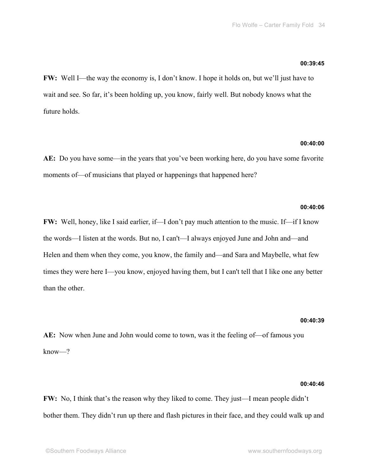#### **00:39:45**

**FW:** Well I—the way the economy is, I don't know. I hope it holds on, but we'll just have to wait and see. So far, it's been holding up, you know, fairly well. But nobody knows what the future holds.

### **00:40:00**

**AE:** Do you have some—in the years that you've been working here, do you have some favorite moments of—of musicians that played or happenings that happened here?

## **00:40:06**

**FW:** Well, honey, like I said earlier, if—I don't pay much attention to the music. If—if I know the words—I listen at the words. But no, I can't—I always enjoyed June and John and—and Helen and them when they come, you know, the family and—and Sara and Maybelle, what few times they were here I—you know, enjoyed having them, but I can't tell that I like one any better than the other.

#### **00:40:39**

**AE:** Now when June and John would come to town, was it the feeling of—of famous you know—?

#### **00:40:46**

**FW:** No, I think that's the reason why they liked to come. They just—I mean people didn't bother them. They didn't run up there and flash pictures in their face, and they could walk up and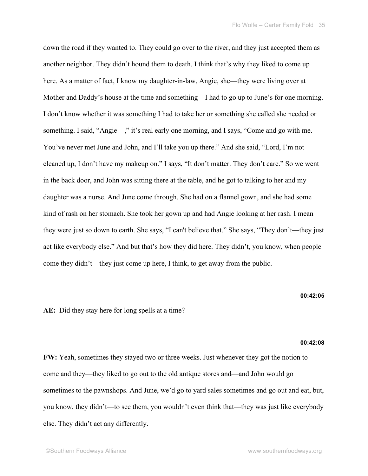down the road if they wanted to. They could go over to the river, and they just accepted them as another neighbor. They didn't hound them to death. I think that's why they liked to come up here. As a matter of fact, I know my daughter-in-law, Angie, she—they were living over at Mother and Daddy's house at the time and something—I had to go up to June's for one morning. I don't know whether it was something I had to take her or something she called she needed or something. I said, "Angie—," it's real early one morning, and I says, "Come and go with me. You've never met June and John, and I'll take you up there." And she said, "Lord, I'm not cleaned up, I don't have my makeup on." I says, "It don't matter. They don't care." So we went in the back door, and John was sitting there at the table, and he got to talking to her and my daughter was a nurse. And June come through. She had on a flannel gown, and she had some kind of rash on her stomach. She took her gown up and had Angie looking at her rash. I mean they were just so down to earth. She says, "I can't believe that." She says, "They don't—they just act like everybody else." And but that's how they did here. They didn't, you know, when people come they didn't—they just come up here, I think, to get away from the public.

## **00:42:05**

**AE:** Did they stay here for long spells at a time?

#### **00:42:08**

**FW:** Yeah, sometimes they stayed two or three weeks. Just whenever they got the notion to come and they—they liked to go out to the old antique stores and—and John would go sometimes to the pawnshops. And June, we'd go to yard sales sometimes and go out and eat, but, you know, they didn't—to see them, you wouldn't even think that—they was just like everybody else. They didn't act any differently.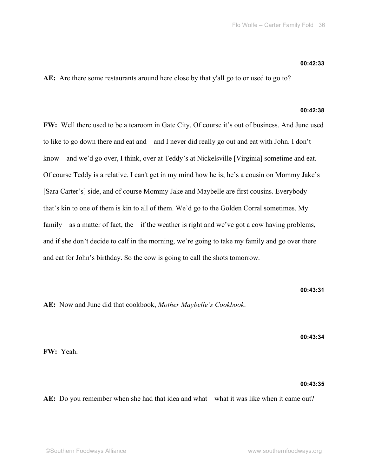**AE:** Are there some restaurants around here close by that y'all go to or used to go to?

## **00:42:38**

**FW:** Well there used to be a tearoom in Gate City. Of course it's out of business. And June used to like to go down there and eat and—and I never did really go out and eat with John. I don't know—and we'd go over, I think, over at Teddy's at Nickelsville [Virginia] sometime and eat. Of course Teddy is a relative. I can't get in my mind how he is; he's a cousin on Mommy Jake's [Sara Carter's] side, and of course Mommy Jake and Maybelle are first cousins. Everybody that's kin to one of them is kin to all of them. We'd go to the Golden Corral sometimes. My family—as a matter of fact, the—if the weather is right and we've got a cow having problems, and if she don't decide to calf in the morning, we're going to take my family and go over there and eat for John's birthday. So the cow is going to call the shots tomorrow.

**00:43:31**

**AE:** Now and June did that cookbook, *Mother Maybelle's Cookbook*.

**00:43:34**

**FW:** Yeah.

#### **00:43:35**

**AE:** Do you remember when she had that idea and what—what it was like when it came out?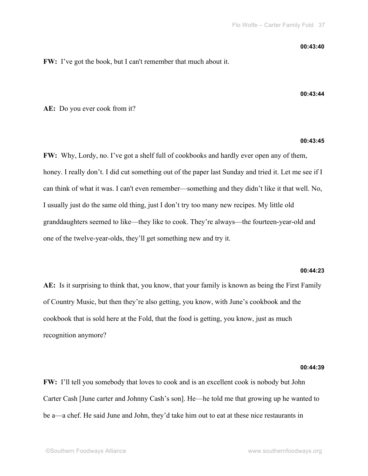#### **00:43:40**

**00:43:44**

**FW:** I've got the book, but I can't remember that much about it.

**AE:** Do you ever cook from it?

## **00:43:45**

**FW:** Why, Lordy, no. I've got a shelf full of cookbooks and hardly ever open any of them, honey. I really don't. I did cut something out of the paper last Sunday and tried it. Let me see if I can think of what it was. I can't even remember—something and they didn't like it that well. No, I usually just do the same old thing, just I don't try too many new recipes. My little old granddaughters seemed to like—they like to cook. They're always—the fourteen-year-old and one of the twelve-year-olds, they'll get something new and try it.

#### **00:44:23**

**AE:** Is it surprising to think that, you know, that your family is known as being the First Family of Country Music, but then they're also getting, you know, with June's cookbook and the cookbook that is sold here at the Fold, that the food is getting, you know, just as much recognition anymore?

#### **00:44:39**

**FW:** I'll tell you somebody that loves to cook and is an excellent cook is nobody but John Carter Cash [June carter and Johnny Cash's son]. He—he told me that growing up he wanted to be a—a chef. He said June and John, they'd take him out to eat at these nice restaurants in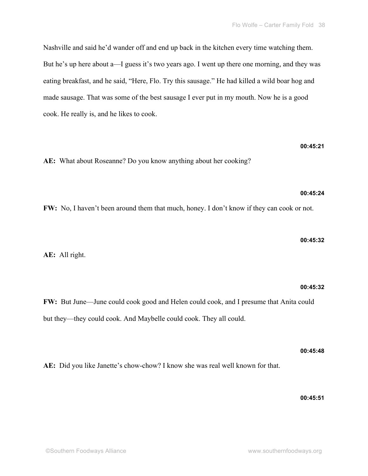Nashville and said he'd wander off and end up back in the kitchen every time watching them. But he's up here about a—I guess it's two years ago. I went up there one morning, and they was eating breakfast, and he said, "Here, Flo. Try this sausage." He had killed a wild boar hog and made sausage. That was some of the best sausage I ever put in my mouth. Now he is a good cook. He really is, and he likes to cook.

**AE:** What about Roseanne? Do you know anything about her cooking?

**FW:** No, I haven't been around them that much, honey. I don't know if they can cook or not.

**AE:** All right.

**FW:** But June—June could cook good and Helen could cook, and I presume that Anita could but they—they could cook. And Maybelle could cook. They all could.

**AE:** Did you like Janette's chow-chow? I know she was real well known for that.

**00:45:51**

**00:45:48**

**00:45:32**

**00:45:32**

**00:45:21**

**00:45:24**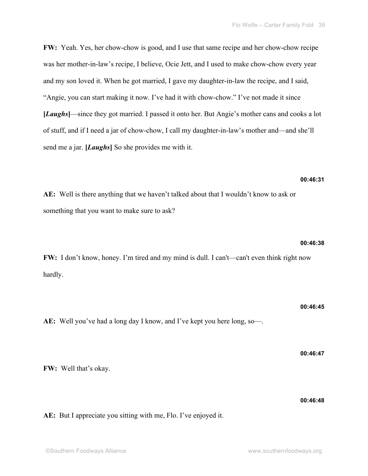**FW:** Yeah. Yes, her chow-chow is good, and I use that same recipe and her chow-chow recipe was her mother-in-law's recipe, I believe, Ocie Jett, and I used to make chow-chow every year and my son loved it. When he got married, I gave my daughter-in-law the recipe, and I said, "Angie, you can start making it now. I've had it with chow-chow." I've not made it since **[***Laughs***]**—since they got married. I passed it onto her. But Angie's mother cans and cooks a lot of stuff, and if I need a jar of chow-chow, I call my daughter-in-law's mother and—and she'll send me a jar. **[***Laughs***]** So she provides me with it.

## **00:46:31**

**AE:** Well is there anything that we haven't talked about that I wouldn't know to ask or something that you want to make sure to ask?

**FW:** I don't know, honey. I'm tired and my mind is dull. I can't—can't even think right now hardly.

# **00:46:45**

**AE:** Well you've had a long day I know, and I've kept you here long, so—.

**FW:** Well that's okay.

**AE:** But I appreciate you sitting with me, Flo. I've enjoyed it.

# **00:46:38**

## **00:46:47**

## **00:46:48**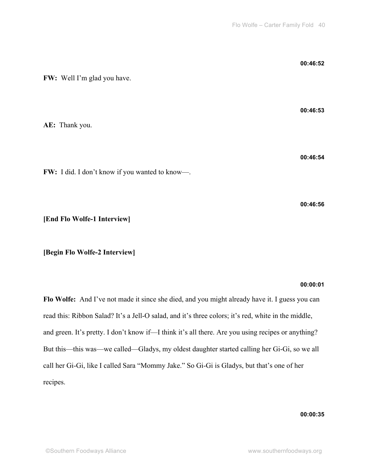| FW: Well I'm glad you have.                    | 00:46:52 |
|------------------------------------------------|----------|
| AE: Thank you.                                 | 00:46:53 |
| FW: I did. I don't know if you wanted to know- | 00:46:54 |

**[End Flo Wolfe-1 Interview]**

**[Begin Flo Wolfe-2 Interview]**

## **00:00:01**

**00:46:56**

**Flo Wolfe:** And I've not made it since she died, and you might already have it. I guess you can read this: Ribbon Salad? It's a Jell-O salad, and it's three colors; it's red, white in the middle, and green. It's pretty. I don't know if—I think it's all there. Are you using recipes or anything? But this—this was—we called—Gladys, my oldest daughter started calling her Gi-Gi, so we all call her Gi-Gi, like I called Sara "Mommy Jake." So Gi-Gi is Gladys, but that's one of her recipes.

**00:00:35**